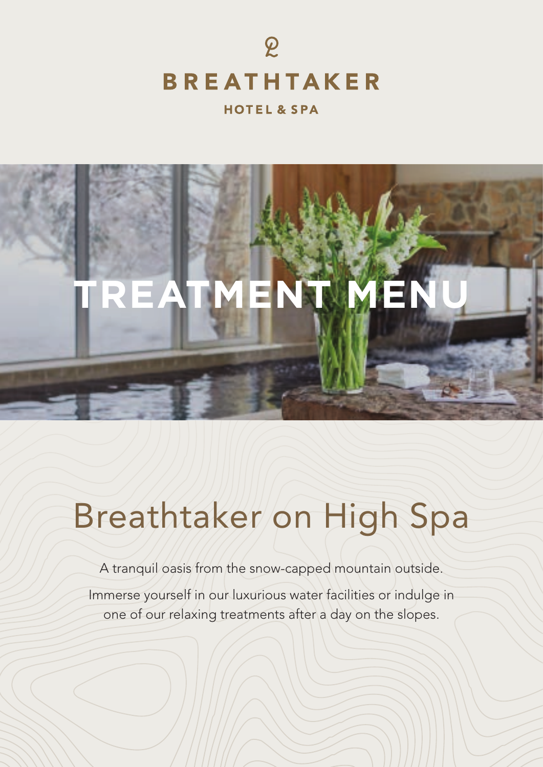

#### **HOTEL & SPA**



# Breathtaker on High Spa

A tranquil oasis from the snow-capped mountain outside.

Immerse yourself in our luxurious water facilities or indulge in one of our relaxing treatments after a day on the slopes.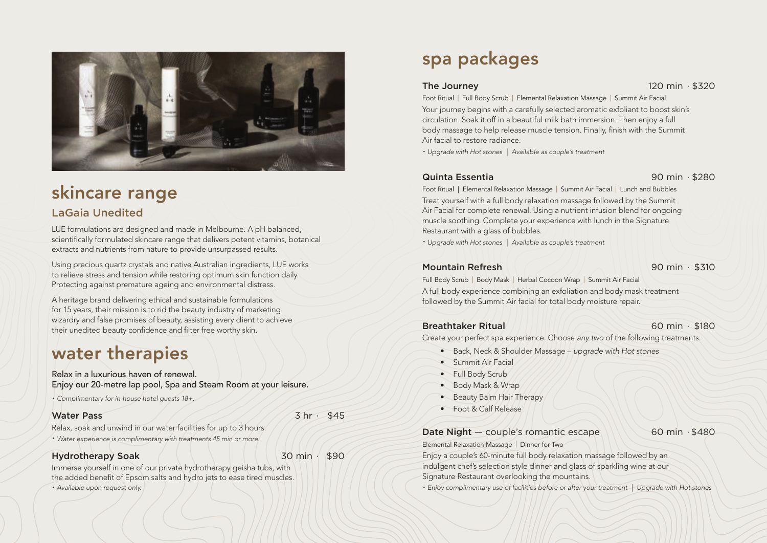

# skincare range

# LaGaia Unedited

LUE formulations are designed and made in Melbourne. A pH balanced, scientifically formulated skincare range that delivers potent vitamins, botanical extracts and nutrients from nature to provide unsurpassed results.

Using precious quartz crystals and native Australian ingredients, LUE works to relieve stress and tension while restoring optimum skin function daily. Protecting against premature ageing and environmental distress.

A heritage brand delivering ethical and sustainable formulations for 15 years, their mission is to rid the beauty industry of marketing wizardry and false promises of beauty, assisting every client to achieve their unedited beauty confidence and filter free worthy skin.

# water therapies

Relax in a luxurious haven of renewal. Enjoy our 20-metre lap pool, Spa and Steam Room at your leisure.

• *Complimentary for in-house hotel guests 18+.*

### Water Pass 3 and 3 hr ⋅ \$45

Relax, soak and unwind in our water facilities for up to 3 hours. • *Water experience is complimentary with treatments 45 min or more.*

# Hydrotherapy Soak 4 Min → 30 min + \$90

Immerse yourself in one of our private hydrotherapy geisha tubs, with the added benefit of Epsom salts and hydro jets to ease tired muscles. • *Available upon request only.*

# spa packages

### The Journey 120 min ⋅ \$320

Foot Ritual | Full Body Scrub | Elemental Relaxation Massage | Summit Air Facial Your journey begins with a carefully selected aromatic exfoliant to boost skin's circulation. Soak it off in a beautiful milk bath immersion. Then enjoy a full body massage to help release muscle tension. Finally, finish with the Summit Air facial to restore radiance.

• *Upgrade with Hot stones | Available as couple's treatment*

# Quinta Essentia 90 min ∙ \$280

Foot Ritual | Elemental Relaxation Massage | Summit Air Facial | Lunch and Bubbles Treat yourself with a full body relaxation massage followed by the Summit Air Facial for complete renewal. Using a nutrient infusion blend for ongoing muscle soothing. Complete your experience with lunch in the Signature Restaurant with a glass of bubbles.

• *Upgrade with Hot stones | Available as couple's treatment*

# Mountain Refresh 90 min ∙ \$310

Full Body Scrub | Body Mask | Herbal Cocoon Wrap | Summit Air Facial A full body experience combining an exfoliation and body mask treatment followed by the Summit Air facial for total body moisture repair.

# Breathtaker Ritual 60 min ∙ \$180

Create your perfect spa experience. Choose *any two* of the following treatments:

- Back, Neck & Shoulder Massage *upgrade with Hot stones*
- Summit Air Facial
- Full Body Scrub
- Body Mask & Wrap
- Beauty Balm Hair Therapy

Elemental Relaxation Massage | Dinner for Two

• Foot & Calf Release

Date Night — couple's romantic escape 60 min ⋅ \$480

Enjoy a couple's 60-minute full body relaxation massage followed by an indulgent chef's selection style dinner and glass of sparkling wine at our Signature Restaurant overlooking the mountains.

• *Enjoy complimentary use of facilities before or after your treatment | Upgrade with Hot stones*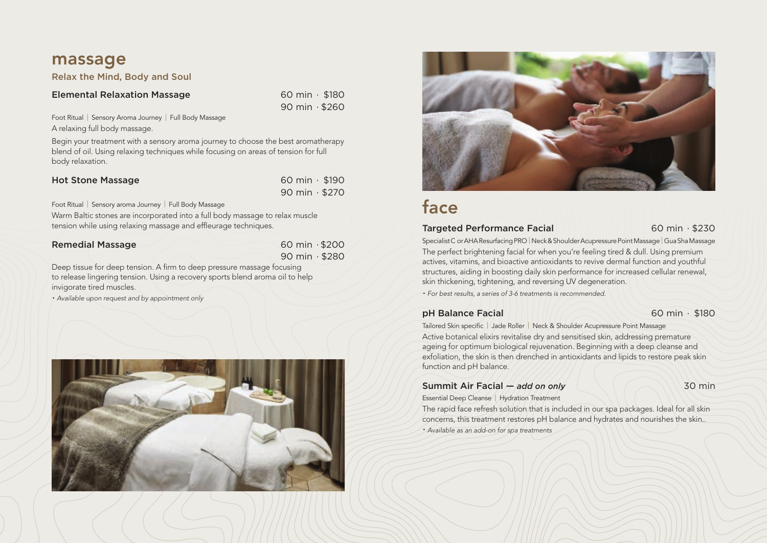# massage

Relax the Mind, Body and Soul

### Elemental Relaxation Massage 60 min ⋅ \$180

90 min ∙ \$260

Foot Ritual | Sensory Aroma Journey | Full Body Massage A relaxing full body massage.

Begin your treatment with a sensory aroma journey to choose the best aromatherapy blend of oil. Using relaxing techniques while focusing on areas of tension for full body relaxation.

| <b>Hot Stone Massage</b> | 60 min $\cdot$ \$190        |
|--------------------------|-----------------------------|
|                          | $90 \text{ min} \cdot $270$ |

Foot Ritual | Sensory aroma Journey | Full Body Massage

Warm Baltic stones are incorporated into a full body massage to relax muscle tension while using relaxing massage and effleurage techniques.

| <b>Remedial Massage</b> | $60 \text{ min} \cdot $200$ |
|-------------------------|-----------------------------|
|                         | 90 min $\cdot$ \$280        |

Deep tissue for deep tension. A firm to deep pressure massage focusing to release lingering tension. Using a recovery sports blend aroma oil to help invigorate tired muscles.

• *Available upon request and by appointment only*





# face

### Targeted Performance Facial 60 min ⋅ \$230

Specialist C or AHA Resurfacing PRO | Neck & Shoulder Acupressure Point Massage | Gua Sha Massage The perfect brightening facial for when you're feeling tired & dull. Using premium actives, vitamins, and bioactive antioxidants to revive dermal function and youthful structures, aiding in boosting daily skin performance for increased cellular renewal, skin thickening, tightening, and reversing UV degeneration.

• *For best results, a series of 3-6 treatments is recommended.*

### **pH Balance Facial 60 min ⋅ \$180**

Tailored Skin specific | Jade Roller | Neck & Shoulder Acupressure Point Massage Active botanical elixirs revitalise dry and sensitised skin, addressing premature ageing for optimum biological rejuvenation. Beginning with a deep cleanse and exfoliation, the skin is then drenched in antioxidants and lipids to restore peak skin function and pH balance.

#### **Summit Air Facial —** *add on only* 20 min Essential Deep Cleanse | Hydration Treatment

The rapid face refresh solution that is included in our spa packages. Ideal for all skin concerns, this treatment restores pH balance and hydrates and nourishes the skin..

• *Available as an add-on for spa treatments*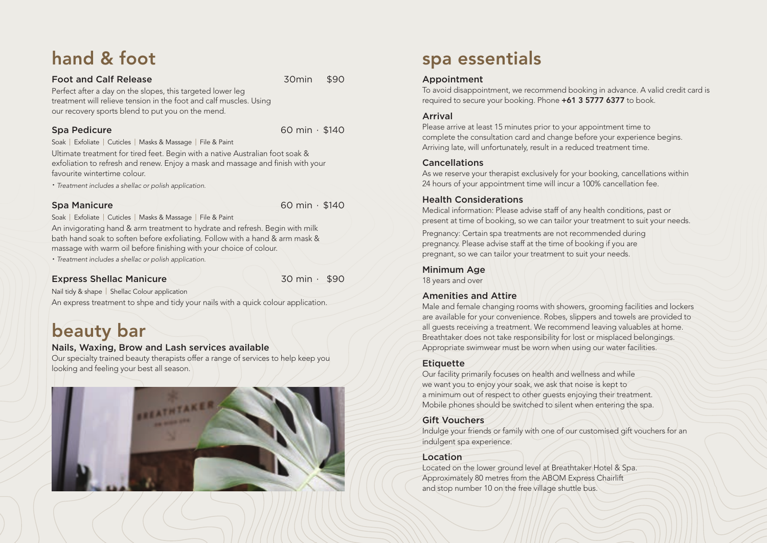# hand & foot

#### Foot and Calf Release 30min \$90

Perfect after a day on the slopes, this targeted lower leg treatment will relieve tension in the foot and calf muscles. Using our recovery sports blend to put you on the mend.

Spa Pedicure 60 min ∙ \$140

Soak | Exfoliate | Cuticles | Masks & Massage | File & Paint Ultimate treatment for tired feet. Begin with a native Australian foot soak & exfoliation to refresh and renew. Enjoy a mask and massage and finish with your favourite wintertime colour.

• *Treatment includes a shellac or polish application.*

Spa Manicure 60 min ∙ \$140

Soak | Exfoliate | Cuticles | Masks & Massage | File & Paint

An invigorating hand & arm treatment to hydrate and refresh. Begin with milk bath hand soak to soften before exfoliating. Follow with a hand & arm mask & massage with warm oil before finishing with your choice of colour.

• *Treatment includes a shellac or polish application.*

# Express Shellac Manicure 30 min ⋅ \$90

Nail tidy & shape | Shellac Colour application An express treatment to shpe and tidy your nails with a quick colour application.

# beauty bar

# Nails, Waxing, Brow and Lash services available

Our specialty trained beauty therapists offer a range of services to help keep you looking and feeling your best all season.



# spa essentials

# Appointment

To avoid disappointment, we recommend booking in advance. A valid credit card is required to secure your booking. Phone +61 3 5777 6377 to book.

# Arrival

Please arrive at least 15 minutes prior to your appointment time to complete the consultation card and change before your experience begins. Arriving late, will unfortunately, result in a reduced treatment time.

# Cancellations

As we reserve your therapist exclusively for your booking, cancellations within 24 hours of your appointment time will incur a 100% cancellation fee.

# Health Considerations

Medical information: Please advise staff of any health conditions, past or present at time of booking, so we can tailor your treatment to suit your needs.

Pregnancy: Certain spa treatments are not recommended during pregnancy. Please advise staff at the time of booking if you are pregnant, so we can tailor your treatment to suit your needs.

### Minimum Age

18 years and over

### Amenities and Attire

Male and female changing rooms with showers, grooming facilities and lockers are available for your convenience. Robes, slippers and towels are provided to all guests receiving a treatment. We recommend leaving valuables at home. Breathtaker does not take responsibility for lost or misplaced belongings. Appropriate swimwear must be worn when using our water facilities.

# **Etiquette**

Our facility primarily focuses on health and wellness and while we want you to enjoy your soak, we ask that noise is kept to a minimum out of respect to other guests enjoying their treatment. Mobile phones should be switched to silent when entering the spa.

# Gift Vouchers

Indulge your friends or family with one of our customised gift vouchers for an indulgent spa experience.

# Location

Located on the lower ground level at Breathtaker Hotel & Spa. Approximately 80 metres from the ABOM Express Chairlift and stop number 10 on the free village shuttle bus.